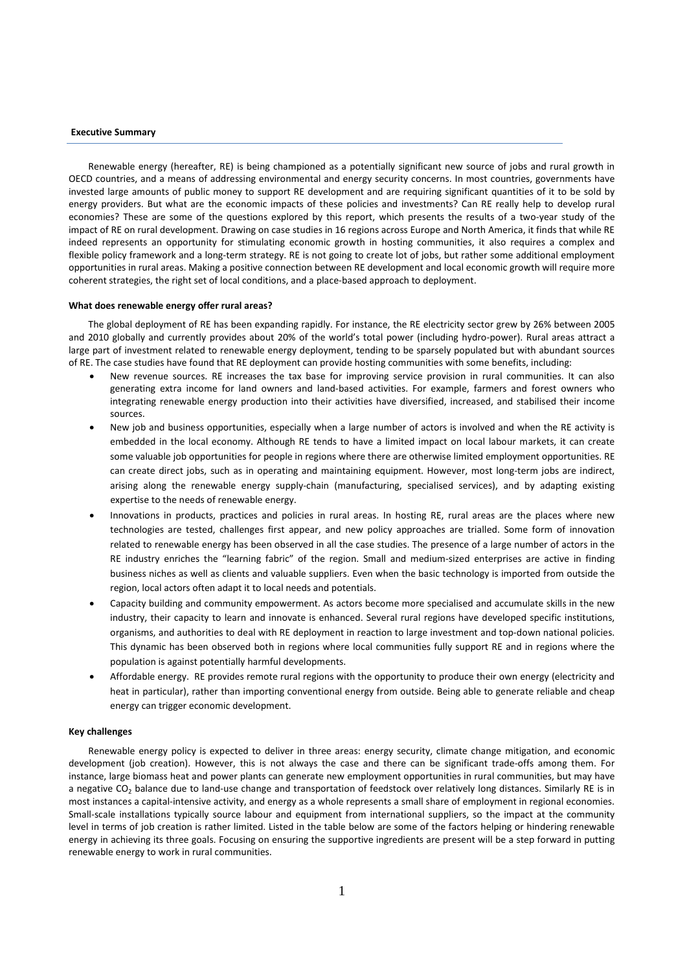#### **Executive Summary**

Renewable energy (hereafter, RE) is being championed as a potentially significant new source of jobs and rural growth in OECD countries, and a means of addressing environmental and energy security concerns. In most countries, governments have invested large amounts of public money to support RE development and are requiring significant quantities of it to be sold by energy providers. But what are the economic impacts of these policies and investments? Can RE really help to develop rural economies? These are some of the questions explored by this report, which presents the results of a two-year study of the impact of RE on rural development. Drawing on case studies in 16 regions across Europe and North America, it finds that while RE indeed represents an opportunity for stimulating economic growth in hosting communities, it also requires a complex and flexible policy framework and a long-term strategy. RE is not going to create lot of jobs, but rather some additional employment opportunities in rural areas. Making a positive connection between RE development and local economic growth will require more coherent strategies, the right set of local conditions, and a place-based approach to deployment.

#### **What does renewable energy offer rural areas?**

The global deployment of RE has been expanding rapidly. For instance, the RE electricity sector grew by 26% between 2005 and 2010 globally and currently provides about 20% of the world's total power (including hydro-power). Rural areas attract a large part of investment related to renewable energy deployment, tending to be sparsely populated but with abundant sources of RE. The case studies have found that RE deployment can provide hosting communities with some benefits, including:

- New revenue sources. RE increases the tax base for improving service provision in rural communities. It can also generating extra income for land owners and land-based activities. For example, farmers and forest owners who integrating renewable energy production into their activities have diversified, increased, and stabilised their income sources.
- New job and business opportunities, especially when a large number of actors is involved and when the RE activity is embedded in the local economy. Although RE tends to have a limited impact on local labour markets, it can create some valuable job opportunities for people in regions where there are otherwise limited employment opportunities. RE can create direct jobs, such as in operating and maintaining equipment. However, most long-term jobs are indirect, arising along the renewable energy supply-chain (manufacturing, specialised services), and by adapting existing expertise to the needs of renewable energy.
- Innovations in products, practices and policies in rural areas. In hosting RE, rural areas are the places where new technologies are tested, challenges first appear, and new policy approaches are trialled. Some form of innovation related to renewable energy has been observed in all the case studies. The presence of a large number of actors in the RE industry enriches the "learning fabric" of the region. Small and medium-sized enterprises are active in finding business niches as well as clients and valuable suppliers. Even when the basic technology is imported from outside the region, local actors often adapt it to local needs and potentials.
- Capacity building and community empowerment. As actors become more specialised and accumulate skills in the new industry, their capacity to learn and innovate is enhanced. Several rural regions have developed specific institutions, organisms, and authorities to deal with RE deployment in reaction to large investment and top-down national policies. This dynamic has been observed both in regions where local communities fully support RE and in regions where the population is against potentially harmful developments.
- Affordable energy. RE provides remote rural regions with the opportunity to produce their own energy (electricity and heat in particular), rather than importing conventional energy from outside. Being able to generate reliable and cheap energy can trigger economic development.

#### **Key challenges**

Renewable energy policy is expected to deliver in three areas: energy security, climate change mitigation, and economic development (job creation). However, this is not always the case and there can be significant trade-offs among them. For instance, large biomass heat and power plants can generate new employment opportunities in rural communities, but may have a negative CO<sub>2</sub> balance due to land-use change and transportation of feedstock over relatively long distances. Similarly RE is in most instances a capital-intensive activity, and energy as a whole represents a small share of employment in regional economies. Small-scale installations typically source labour and equipment from international suppliers, so the impact at the community level in terms of job creation is rather limited. Listed in the table below are some of the factors helping or hindering renewable energy in achieving its three goals. Focusing on ensuring the supportive ingredients are present will be a step forward in putting renewable energy to work in rural communities.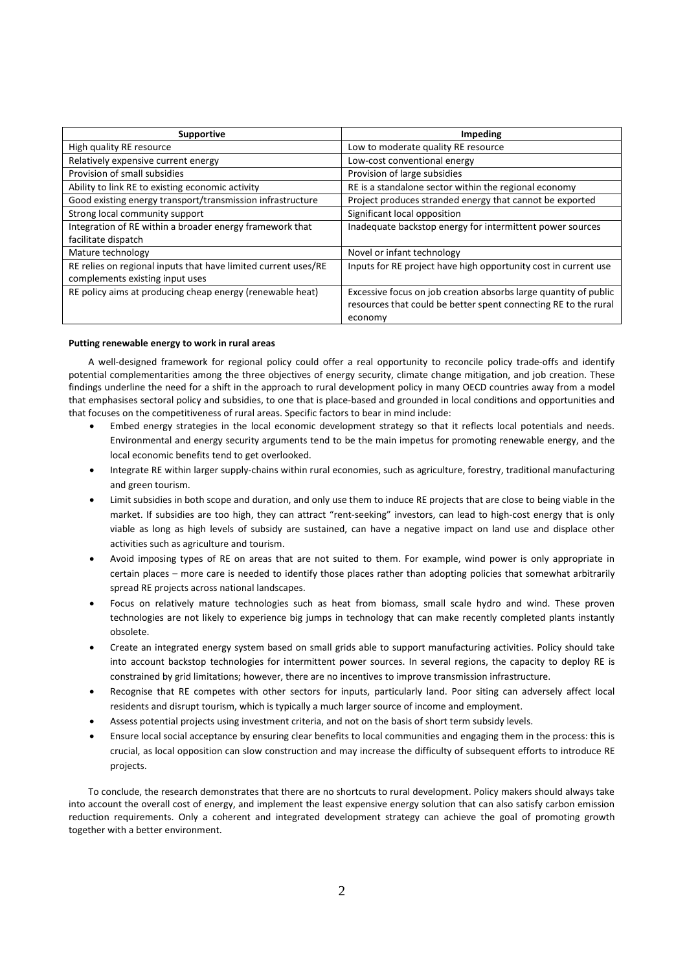| <b>Supportive</b>                                              | Impeding                                                         |
|----------------------------------------------------------------|------------------------------------------------------------------|
| High quality RE resource                                       | Low to moderate quality RE resource                              |
| Relatively expensive current energy                            | Low-cost conventional energy                                     |
| Provision of small subsidies                                   | Provision of large subsidies                                     |
| Ability to link RE to existing economic activity               | RE is a standalone sector within the regional economy            |
| Good existing energy transport/transmission infrastructure     | Project produces stranded energy that cannot be exported         |
| Strong local community support                                 | Significant local opposition                                     |
| Integration of RE within a broader energy framework that       | Inadequate backstop energy for intermittent power sources        |
| facilitate dispatch                                            |                                                                  |
| Mature technology                                              | Novel or infant technology                                       |
| RE relies on regional inputs that have limited current uses/RE | Inputs for RE project have high opportunity cost in current use  |
| complements existing input uses                                |                                                                  |
| RE policy aims at producing cheap energy (renewable heat)      | Excessive focus on job creation absorbs large quantity of public |
|                                                                | resources that could be better spent connecting RE to the rural  |
|                                                                | economy                                                          |

#### **Putting renewable energy to work in rural areas**

A well-designed framework for regional policy could offer a real opportunity to reconcile policy trade-offs and identify potential complementarities among the three objectives of energy security, climate change mitigation, and job creation. These findings underline the need for a shift in the approach to rural development policy in many OECD countries away from a model that emphasises sectoral policy and subsidies, to one that is place-based and grounded in local conditions and opportunities and that focuses on the competitiveness of rural areas. Specific factors to bear in mind include:

- Embed energy strategies in the local economic development strategy so that it reflects local potentials and needs. Environmental and energy security arguments tend to be the main impetus for promoting renewable energy, and the local economic benefits tend to get overlooked.
- Integrate RE within larger supply-chains within rural economies, such as agriculture, forestry, traditional manufacturing and green tourism.
- Limit subsidies in both scope and duration, and only use them to induce RE projects that are close to being viable in the market. If subsidies are too high, they can attract "rent-seeking" investors, can lead to high-cost energy that is only viable as long as high levels of subsidy are sustained, can have a negative impact on land use and displace other activities such as agriculture and tourism.
- Avoid imposing types of RE on areas that are not suited to them. For example, wind power is only appropriate in certain places – more care is needed to identify those places rather than adopting policies that somewhat arbitrarily spread RE projects across national landscapes.
- Focus on relatively mature technologies such as heat from biomass, small scale hydro and wind. These proven technologies are not likely to experience big jumps in technology that can make recently completed plants instantly obsolete.
- Create an integrated energy system based on small grids able to support manufacturing activities. Policy should take into account backstop technologies for intermittent power sources. In several regions, the capacity to deploy RE is constrained by grid limitations; however, there are no incentives to improve transmission infrastructure.
- Recognise that RE competes with other sectors for inputs, particularly land. Poor siting can adversely affect local residents and disrupt tourism, which is typically a much larger source of income and employment.
- Assess potential projects using investment criteria, and not on the basis of short term subsidy levels.
- Ensure local social acceptance by ensuring clear benefits to local communities and engaging them in the process: this is crucial, as local opposition can slow construction and may increase the difficulty of subsequent efforts to introduce RE projects.

To conclude, the research demonstrates that there are no shortcuts to rural development. Policy makers should always take into account the overall cost of energy, and implement the least expensive energy solution that can also satisfy carbon emission reduction requirements. Only a coherent and integrated development strategy can achieve the goal of promoting growth together with a better environment.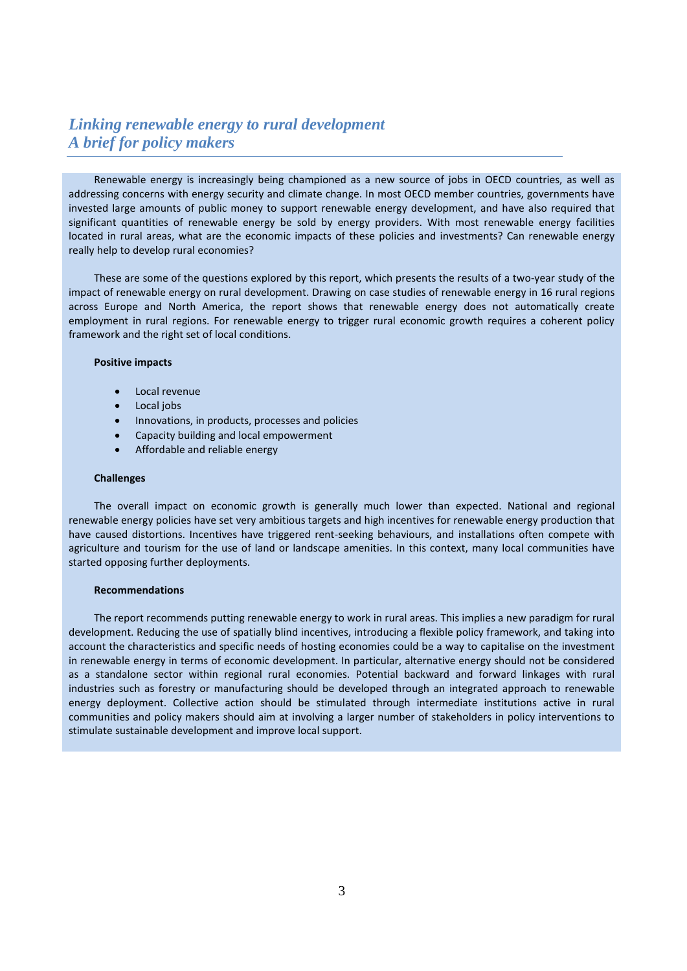# *Linking renewable energy to rural development A brief for policy makers*

Renewable energy is increasingly being championed as a new source of jobs in OECD countries, as well as addressing concerns with energy security and climate change. In most OECD member countries, governments have invested large amounts of public money to support renewable energy development, and have also required that significant quantities of renewable energy be sold by energy providers. With most renewable energy facilities located in rural areas, what are the economic impacts of these policies and investments? Can renewable energy really help to develop rural economies?

These are some of the questions explored by this report, which presents the results of a two-year study of the impact of renewable energy on rural development. Drawing on case studies of renewable energy in 16 rural regions across Europe and North America, the report shows that renewable energy does not automatically create employment in rural regions. For renewable energy to trigger rural economic growth requires a coherent policy framework and the right set of local conditions.

### **Positive impacts**

- Local revenue
- Local jobs
- Innovations, in products, processes and policies
- Capacity building and local empowerment
- Affordable and reliable energy

#### **Challenges**

The overall impact on economic growth is generally much lower than expected. National and regional renewable energy policies have set very ambitious targets and high incentives for renewable energy production that have caused distortions. Incentives have triggered rent-seeking behaviours, and installations often compete with agriculture and tourism for the use of land or landscape amenities. In this context, many local communities have started opposing further deployments.

### **Recommendations**

The report recommends putting renewable energy to work in rural areas. This implies a new paradigm for rural development. Reducing the use of spatially blind incentives, introducing a flexible policy framework, and taking into account the characteristics and specific needs of hosting economies could be a way to capitalise on the investment in renewable energy in terms of economic development. In particular, alternative energy should not be considered as a standalone sector within regional rural economies. Potential backward and forward linkages with rural industries such as forestry or manufacturing should be developed through an integrated approach to renewable energy deployment. Collective action should be stimulated through intermediate institutions active in rural communities and policy makers should aim at involving a larger number of stakeholders in policy interventions to stimulate sustainable development and improve local support.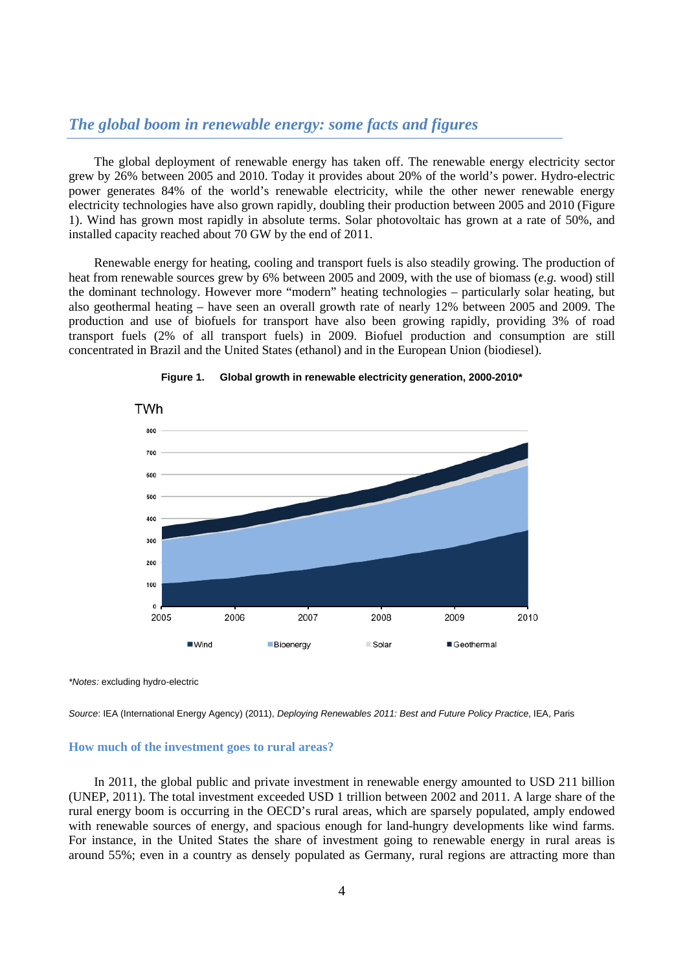# *The global boom in renewable energy: some facts and figures*

The global deployment of renewable energy has taken off. The renewable energy electricity sector grew by 26% between 2005 and 2010. Today it provides about 20% of the world's power. Hydro-electric power generates 84% of the world's renewable electricity, while the other newer renewable energy electricity technologies have also grown rapidly, doubling their production between 2005 and 2010 (Figure 1). Wind has grown most rapidly in absolute terms. Solar photovoltaic has grown at a rate of 50%, and installed capacity reached about 70 GW by the end of 2011.

Renewable energy for heating, cooling and transport fuels is also steadily growing. The production of heat from renewable sources grew by 6% between 2005 and 2009, with the use of biomass (*e.g.* wood) still the dominant technology. However more "modern" heating technologies – particularly solar heating, but also geothermal heating – have seen an overall growth rate of nearly 12% between 2005 and 2009. The production and use of biofuels for transport have also been growing rapidly, providing 3% of road transport fuels (2% of all transport fuels) in 2009. Biofuel production and consumption are still concentrated in Brazil and the United States (ethanol) and in the European Union (biodiesel).



#### **Figure 1. Global growth in renewable electricity generation, 2000-2010\***

*\*Notes:* excluding hydro-electric

*Source*: IEA (International Energy Agency) (2011), *Deploying Renewables 2011: Best and Future Policy Practice*, IEA, Paris

#### **How much of the investment goes to rural areas?**

In 2011, the global public and private investment in renewable energy amounted to USD 211 billion (UNEP, 2011). The total investment exceeded USD 1 trillion between 2002 and 2011. A large share of the rural energy boom is occurring in the OECD's rural areas, which are sparsely populated, amply endowed with renewable sources of energy, and spacious enough for land-hungry developments like wind farms. For instance, in the United States the share of investment going to renewable energy in rural areas is around 55%; even in a country as densely populated as Germany, rural regions are attracting more than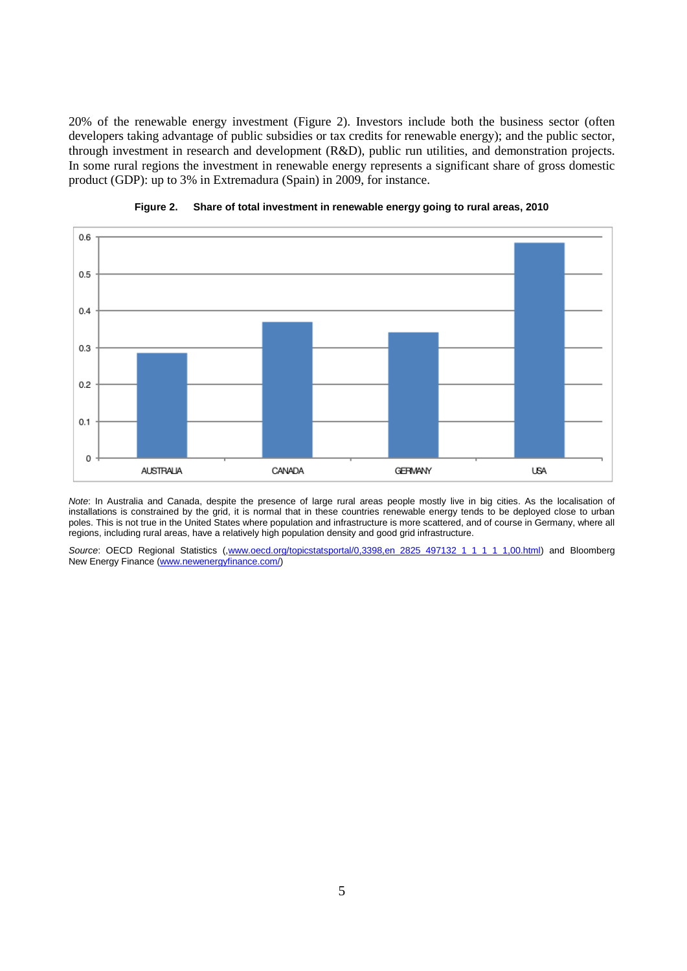20% of the renewable energy investment (Figure 2). Investors include both the business sector (often developers taking advantage of public subsidies or tax credits for renewable energy); and the public sector, through investment in research and development (R&D), public run utilities, and demonstration projects. In some rural regions the investment in renewable energy represents a significant share of gross domestic product (GDP): up to 3% in Extremadura (Spain) in 2009, for instance.





*Note*: In Australia and Canada, despite the presence of large rural areas people mostly live in big cities. As the localisation of installations is constrained by the grid, it is normal that in these countries renewable energy tends to be deployed close to urban poles. This is not true in the United States where population and infrastructure is more scattered, and of course in Germany, where all regions, including rural areas, have a relatively high population density and good grid infrastructure.

Source: OECD Regional Statistics ([,www.oecd.org/topicstatsportal/0,3398,en\\_2825\\_497132\\_1\\_1\\_1\\_1\\_1,00.html\)](http://www.oecd.org/topicstatsportal/0,3398,en_2825_497132_1_1_1_1_1,00.html) and Bloomberg New Energy Finance [\(www.newenergyfinance.com/\)](http://www.newenergyfinance.com/)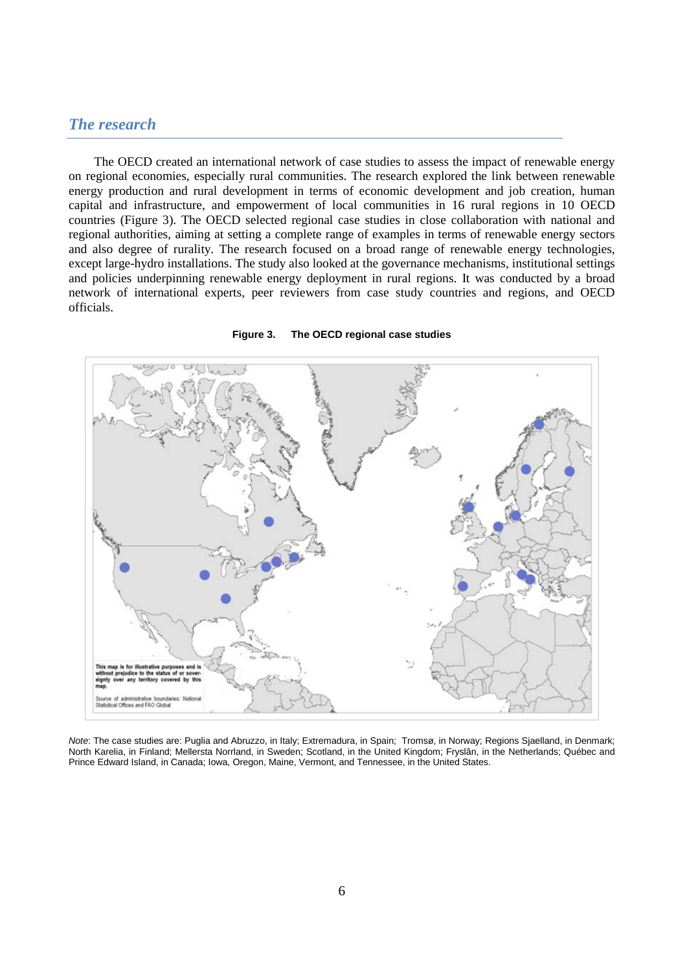# *The research*

The OECD created an international network of case studies to assess the impact of renewable energy on regional economies, especially rural communities. The research explored the link between renewable energy production and rural development in terms of economic development and job creation, human capital and infrastructure, and empowerment of local communities in 16 rural regions in 10 OECD countries (Figure 3). The OECD selected regional case studies in close collaboration with national and regional authorities, aiming at setting a complete range of examples in terms of renewable energy sectors and also degree of rurality. The research focused on a broad range of renewable energy technologies, except large-hydro installations. The study also looked at the governance mechanisms, institutional settings and policies underpinning renewable energy deployment in rural regions. It was conducted by a broad network of international experts, peer reviewers from case study countries and regions, and OECD officials.



### **Figure 3. The OECD regional case studies**

*Note*: The case studies are: Puglia and Abruzzo, in Italy; Extremadura, in Spain; Tromsø, in Norway; Regions Sjaelland, in Denmark; North Karelia, in Finland; Mellersta Norrland, in Sweden; Scotland, in the United Kingdom; Fryslân, in the Netherlands; Québec and Prince Edward Island, in Canada; Iowa, Oregon, Maine, Vermont, and Tennessee, in the United States.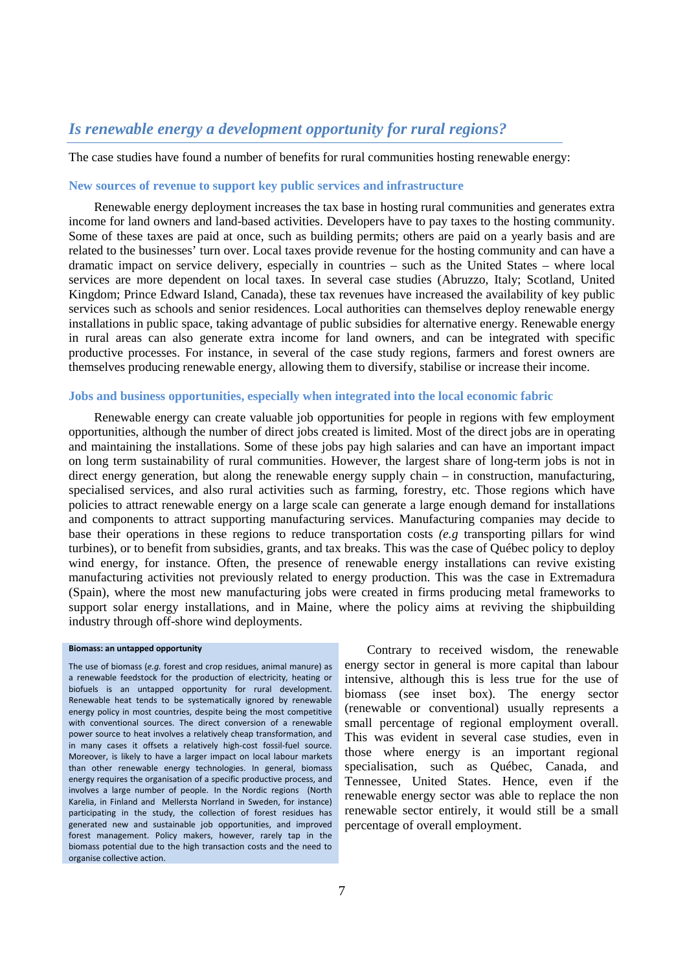# *Is renewable energy a development opportunity for rural regions?*

The case studies have found a number of benefits for rural communities hosting renewable energy:

## **New sources of revenue to support key public services and infrastructure**

Renewable energy deployment increases the tax base in hosting rural communities and generates extra income for land owners and land-based activities. Developers have to pay taxes to the hosting community. Some of these taxes are paid at once, such as building permits; others are paid on a yearly basis and are related to the businesses' turn over. Local taxes provide revenue for the hosting community and can have a dramatic impact on service delivery, especially in countries – such as the United States – where local services are more dependent on local taxes. In several case studies (Abruzzo, Italy; Scotland, United Kingdom; Prince Edward Island, Canada), these tax revenues have increased the availability of key public services such as schools and senior residences. Local authorities can themselves deploy renewable energy installations in public space, taking advantage of public subsidies for alternative energy. Renewable energy in rural areas can also generate extra income for land owners, and can be integrated with specific productive processes. For instance, in several of the case study regions, farmers and forest owners are themselves producing renewable energy, allowing them to diversify, stabilise or increase their income.

## **Jobs and business opportunities, especially when integrated into the local economic fabric**

Renewable energy can create valuable job opportunities for people in regions with few employment opportunities, although the number of direct jobs created is limited. Most of the direct jobs are in operating and maintaining the installations. Some of these jobs pay high salaries and can have an important impact on long term sustainability of rural communities. However, the largest share of long-term jobs is not in direct energy generation, but along the renewable energy supply chain – in construction, manufacturing, specialised services, and also rural activities such as farming, forestry, etc. Those regions which have policies to attract renewable energy on a large scale can generate a large enough demand for installations and components to attract supporting manufacturing services. Manufacturing companies may decide to base their operations in these regions to reduce transportation costs *(e.g* transporting pillars for wind turbines), or to benefit from subsidies, grants, and tax breaks. This was the case of Québec policy to deploy wind energy, for instance. Often, the presence of renewable energy installations can revive existing manufacturing activities not previously related to energy production. This was the case in Extremadura (Spain), where the most new manufacturing jobs were created in firms producing metal frameworks to support solar energy installations, and in Maine, where the policy aims at reviving the shipbuilding industry through off-shore wind deployments.

#### **Biomass: an untapped opportunity**

The use of biomass (*e.g.* forest and crop residues, animal manure) as a renewable feedstock for the production of electricity, heating or biofuels is an untapped opportunity for rural development. Renewable heat tends to be systematically ignored by renewable energy policy in most countries, despite being the most competitive with conventional sources. The direct conversion of a renewable power source to heat involves a relatively cheap transformation, and in many cases it offsets a relatively high-cost fossil-fuel source. Moreover, is likely to have a larger impact on local labour markets than other renewable energy technologies. In general, biomass energy requires the organisation of a specific productive process, and involves a large number of people. In the Nordic regions (North Karelia, in Finland and Mellersta Norrland in Sweden, for instance) participating in the study, the collection of forest residues has generated new and sustainable job opportunities, and improved forest management. Policy makers, however, rarely tap in the biomass potential due to the high transaction costs and the need to organise collective action.

 Contrary to received wisdom, the renewable energy sector in general is more capital than labour intensive, although this is less true for the use of biomass (see inset box). The energy sector (renewable or conventional) usually represents a small percentage of regional employment overall. This was evident in several case studies, even in those where energy is an important regional specialisation, such as Québec, Canada, and Tennessee, United States. Hence, even if the renewable energy sector was able to replace the non renewable sector entirely, it would still be a small percentage of overall employment.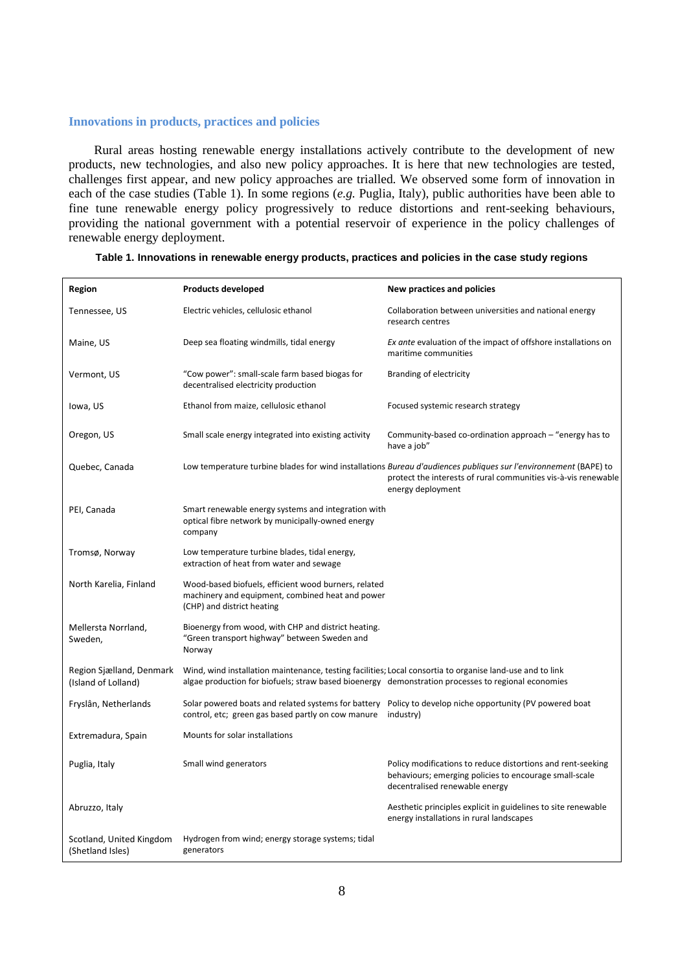## **Innovations in products, practices and policies**

Rural areas hosting renewable energy installations actively contribute to the development of new products, new technologies, and also new policy approaches. It is here that new technologies are tested, challenges first appear, and new policy approaches are trialled. We observed some form of innovation in each of the case studies (Table 1). In some regions (*e.g.* Puglia, Italy), public authorities have been able to fine tune renewable energy policy progressively to reduce distortions and rent-seeking behaviours, providing the national government with a potential reservoir of experience in the policy challenges of renewable energy deployment.

| Region                                          | <b>Products developed</b>                                                                                                                                                                                       | <b>New practices and policies</b>                                                                                                                                                                       |
|-------------------------------------------------|-----------------------------------------------------------------------------------------------------------------------------------------------------------------------------------------------------------------|---------------------------------------------------------------------------------------------------------------------------------------------------------------------------------------------------------|
| Tennessee, US                                   | Electric vehicles, cellulosic ethanol                                                                                                                                                                           | Collaboration between universities and national energy<br>research centres                                                                                                                              |
| Maine, US                                       | Deep sea floating windmills, tidal energy                                                                                                                                                                       | Ex ante evaluation of the impact of offshore installations on<br>maritime communities                                                                                                                   |
| Vermont, US                                     | "Cow power": small-scale farm based biogas for<br>decentralised electricity production                                                                                                                          | Branding of electricity                                                                                                                                                                                 |
| lowa, US                                        | Ethanol from maize, cellulosic ethanol                                                                                                                                                                          | Focused systemic research strategy                                                                                                                                                                      |
| Oregon, US                                      | Small scale energy integrated into existing activity                                                                                                                                                            | Community-based co-ordination approach - "energy has to<br>have a job"                                                                                                                                  |
| Quebec, Canada                                  |                                                                                                                                                                                                                 | Low temperature turbine blades for wind installations Bureau d'audiences publiques sur l'environnement (BAPE) to<br>protect the interests of rural communities vis-à-vis renewable<br>energy deployment |
| PEI, Canada                                     | Smart renewable energy systems and integration with<br>optical fibre network by municipally-owned energy<br>company                                                                                             |                                                                                                                                                                                                         |
| Tromsø, Norway                                  | Low temperature turbine blades, tidal energy,<br>extraction of heat from water and sewage                                                                                                                       |                                                                                                                                                                                                         |
| North Karelia, Finland                          | Wood-based biofuels, efficient wood burners, related<br>machinery and equipment, combined heat and power<br>(CHP) and district heating                                                                          |                                                                                                                                                                                                         |
| Mellersta Norrland,<br>Sweden,                  | Bioenergy from wood, with CHP and district heating.<br>"Green transport highway" between Sweden and<br>Norway                                                                                                   |                                                                                                                                                                                                         |
| Region Sjælland, Denmark<br>(Island of Lolland) | Wind, wind installation maintenance, testing facilities; Local consortia to organise land-use and to link<br>algae production for biofuels; straw based bioenergy demonstration processes to regional economies |                                                                                                                                                                                                         |
| Fryslân, Netherlands                            | control, etc; green gas based partly on cow manure                                                                                                                                                              | Solar powered boats and related systems for battery Policy to develop niche opportunity (PV powered boat<br>industry)                                                                                   |
| Extremadura, Spain                              | Mounts for solar installations                                                                                                                                                                                  |                                                                                                                                                                                                         |
| Puglia, Italy                                   | Small wind generators                                                                                                                                                                                           | Policy modifications to reduce distortions and rent-seeking<br>behaviours; emerging policies to encourage small-scale<br>decentralised renewable energy                                                 |
| Abruzzo, Italy                                  |                                                                                                                                                                                                                 | Aesthetic principles explicit in guidelines to site renewable<br>energy installations in rural landscapes                                                                                               |
| Scotland, United Kingdom<br>(Shetland Isles)    | Hydrogen from wind; energy storage systems; tidal<br>generators                                                                                                                                                 |                                                                                                                                                                                                         |

## **Table 1. Innovations in renewable energy products, practices and policies in the case study regions**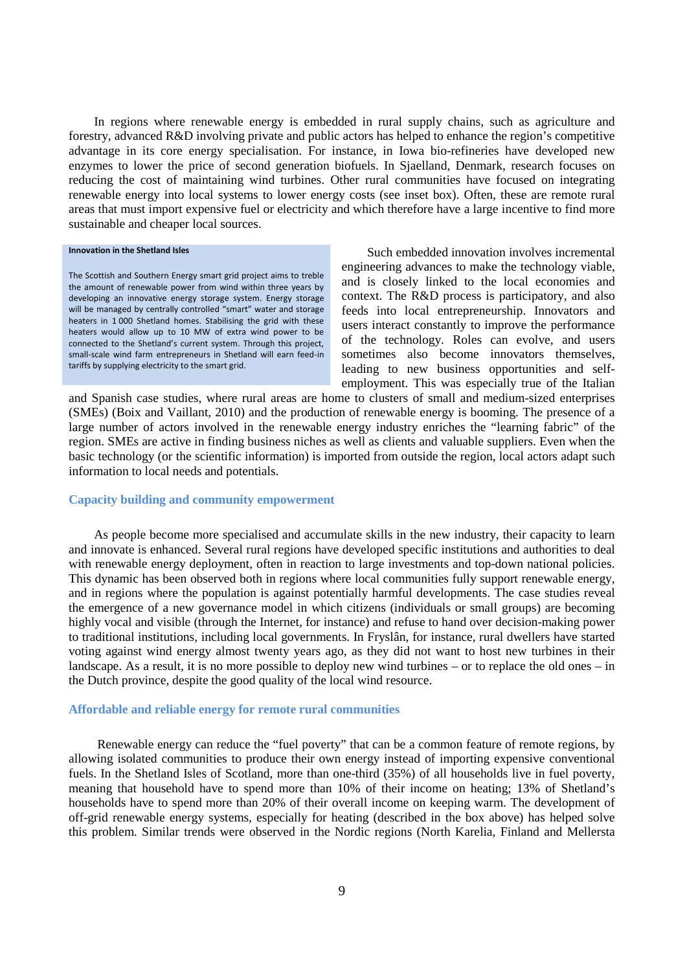In regions where renewable energy is embedded in rural supply chains, such as agriculture and forestry, advanced R&D involving private and public actors has helped to enhance the region's competitive advantage in its core energy specialisation. For instance, in Iowa bio-refineries have developed new enzymes to lower the price of second generation biofuels. In Sjaelland, Denmark, research focuses on reducing the cost of maintaining wind turbines. Other rural communities have focused on integrating renewable energy into local systems to lower energy costs (see inset box). Often, these are remote rural areas that must import expensive fuel or electricity and which therefore have a large incentive to find more sustainable and cheaper local sources.

#### **Innovation in the Shetland Isles**

The Scottish and Southern Energy smart grid project aims to treble the amount of renewable power from wind within three years by developing an innovative energy storage system. Energy storage will be managed by centrally controlled "smart" water and storage heaters in 1 000 Shetland homes. Stabilising the grid with these heaters would allow up to 10 MW of extra wind power to be connected to the Shetland's current system. Through this project, small-scale wind farm entrepreneurs in Shetland will earn feed-in tariffs by supplying electricity to the smart grid.

Such embedded innovation involves incremental engineering advances to make the technology viable, and is closely linked to the local economies and context. The R&D process is participatory, and also feeds into local entrepreneurship. Innovators and users interact constantly to improve the performance of the technology. Roles can evolve, and users sometimes also become innovators themselves, leading to new business opportunities and selfemployment. This was especially true of the Italian

and Spanish case studies, where rural areas are home to clusters of small and medium-sized enterprises (SMEs) (Boix and Vaillant, 2010) and the production of renewable energy is booming. The presence of a large number of actors involved in the renewable energy industry enriches the "learning fabric" of the region. SMEs are active in finding business niches as well as clients and valuable suppliers. Even when the basic technology (or the scientific information) is imported from outside the region, local actors adapt such information to local needs and potentials.

## **Capacity building and community empowerment**

As people become more specialised and accumulate skills in the new industry, their capacity to learn and innovate is enhanced. Several rural regions have developed specific institutions and authorities to deal with renewable energy deployment, often in reaction to large investments and top-down national policies. This dynamic has been observed both in regions where local communities fully support renewable energy, and in regions where the population is against potentially harmful developments. The case studies reveal the emergence of a new governance model in which citizens (individuals or small groups) are becoming highly vocal and visible (through the Internet, for instance) and refuse to hand over decision-making power to traditional institutions, including local governments. In Fryslân, for instance, rural dwellers have started voting against wind energy almost twenty years ago, as they did not want to host new turbines in their landscape. As a result, it is no more possible to deploy new wind turbines – or to replace the old ones – in the Dutch province, despite the good quality of the local wind resource.

### **Affordable and reliable energy for remote rural communities**

Renewable energy can reduce the "fuel poverty" that can be a common feature of remote regions, by allowing isolated communities to produce their own energy instead of importing expensive conventional fuels. In the Shetland Isles of Scotland, more than one-third (35%) of all households live in fuel poverty, meaning that household have to spend more than 10% of their income on heating; 13% of Shetland's households have to spend more than 20% of their overall income on keeping warm. The development of off-grid renewable energy systems, especially for heating (described in the box above) has helped solve this problem. Similar trends were observed in the Nordic regions (North Karelia, Finland and Mellersta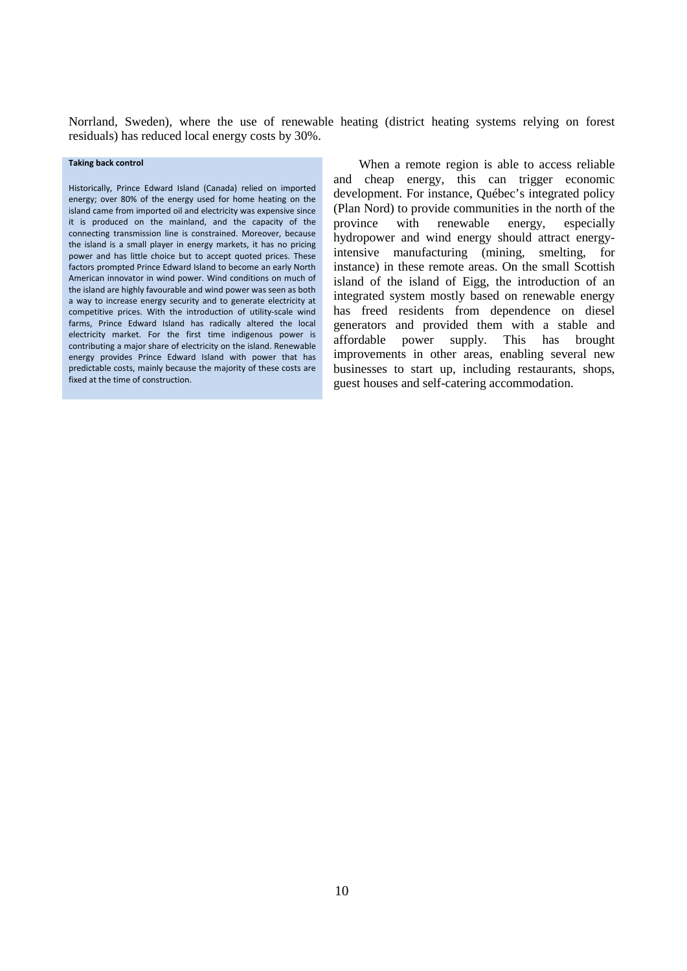Norrland, Sweden), where the use of renewable heating (district heating systems relying on forest residuals) has reduced local energy costs by 30%.

#### **Taking back control**

Historically, Prince Edward Island (Canada) relied on imported energy; over 80% of the energy used for home heating on the island came from imported oil and electricity was expensive since it is produced on the mainland, and the capacity of the connecting transmission line is constrained. Moreover, because the island is a small player in energy markets, it has no pricing power and has little choice but to accept quoted prices. These factors prompted Prince Edward Island to become an early North American innovator in wind power. Wind conditions on much of the island are highly favourable and wind power was seen as both a way to increase energy security and to generate electricity at competitive prices. With the introduction of utility-scale wind farms, Prince Edward Island has radically altered the local electricity market. For the first time indigenous power is contributing a major share of electricity on the island. Renewable energy provides Prince Edward Island with power that has predictable costs, mainly because the majority of these costs are fixed at the time of construction.

When a remote region is able to access reliable and cheap energy, this can trigger economic development. For instance, Québec's integrated policy (Plan Nord) to provide communities in the north of the province with renewable energy, especially hydropower and wind energy should attract energyintensive manufacturing (mining, smelting, for instance) in these remote areas. On the small Scottish island of the island of Eigg, the introduction of an integrated system mostly based on renewable energy has freed residents from dependence on diesel generators and provided them with a stable and affordable power supply. This has brought improvements in other areas, enabling several new businesses to start up, including restaurants, shops, guest houses and self-catering accommodation.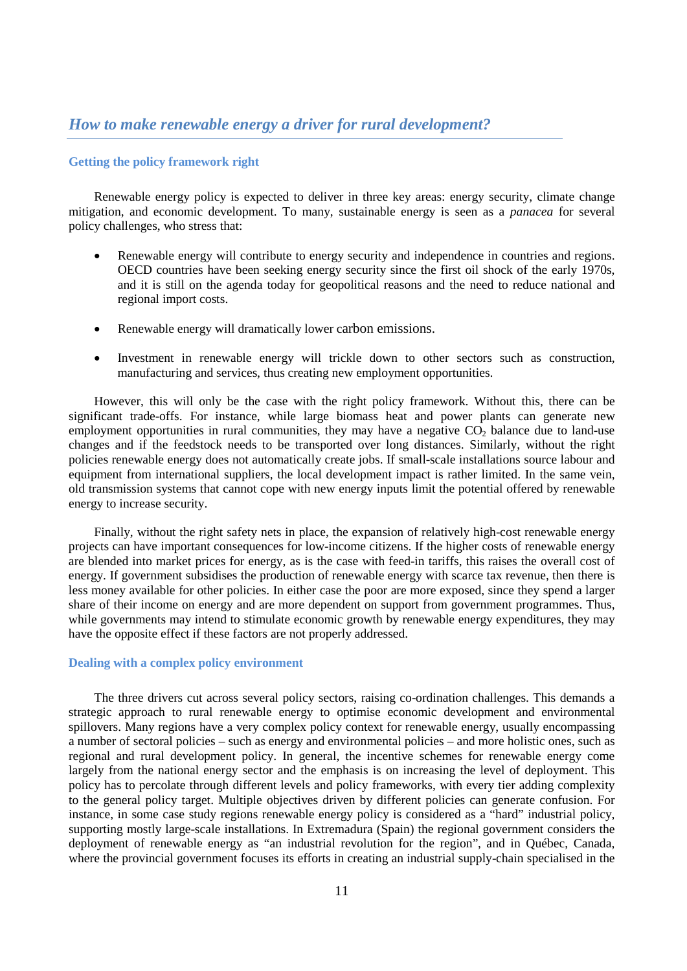# **Getting the policy framework right**

Renewable energy policy is expected to deliver in three key areas: energy security, climate change mitigation, and economic development. To many, sustainable energy is seen as a *panacea* for several policy challenges, who stress that:

- Renewable energy will contribute to energy security and independence in countries and regions. OECD countries have been seeking energy security since the first oil shock of the early 1970s, and it is still on the agenda today for geopolitical reasons and the need to reduce national and regional import costs.
- Renewable energy will dramatically lower carbon emissions.
- Investment in renewable energy will trickle down to other sectors such as construction, manufacturing and services, thus creating new employment opportunities.

However, this will only be the case with the right policy framework. Without this, there can be significant trade-offs. For instance, while large biomass heat and power plants can generate new employment opportunities in rural communities, they may have a negative CO<sub>2</sub> balance due to land-use changes and if the feedstock needs to be transported over long distances. Similarly, without the right policies renewable energy does not automatically create jobs. If small-scale installations source labour and equipment from international suppliers, the local development impact is rather limited. In the same vein, old transmission systems that cannot cope with new energy inputs limit the potential offered by renewable energy to increase security.

Finally, without the right safety nets in place, the expansion of relatively high-cost renewable energy projects can have important consequences for low-income citizens. If the higher costs of renewable energy are blended into market prices for energy, as is the case with feed-in tariffs, this raises the overall cost of energy. If government subsidises the production of renewable energy with scarce tax revenue, then there is less money available for other policies. In either case the poor are more exposed, since they spend a larger share of their income on energy and are more dependent on support from government programmes. Thus, while governments may intend to stimulate economic growth by renewable energy expenditures, they may have the opposite effect if these factors are not properly addressed.

## **Dealing with a complex policy environment**

The three drivers cut across several policy sectors, raising co-ordination challenges. This demands a strategic approach to rural renewable energy to optimise economic development and environmental spillovers. Many regions have a very complex policy context for renewable energy, usually encompassing a number of sectoral policies – such as energy and environmental policies – and more holistic ones, such as regional and rural development policy. In general, the incentive schemes for renewable energy come largely from the national energy sector and the emphasis is on increasing the level of deployment. This policy has to percolate through different levels and policy frameworks, with every tier adding complexity to the general policy target. Multiple objectives driven by different policies can generate confusion. For instance, in some case study regions renewable energy policy is considered as a "hard" industrial policy, supporting mostly large-scale installations. In Extremadura (Spain) the regional government considers the deployment of renewable energy as "an industrial revolution for the region", and in Québec, Canada, where the provincial government focuses its efforts in creating an industrial supply-chain specialised in the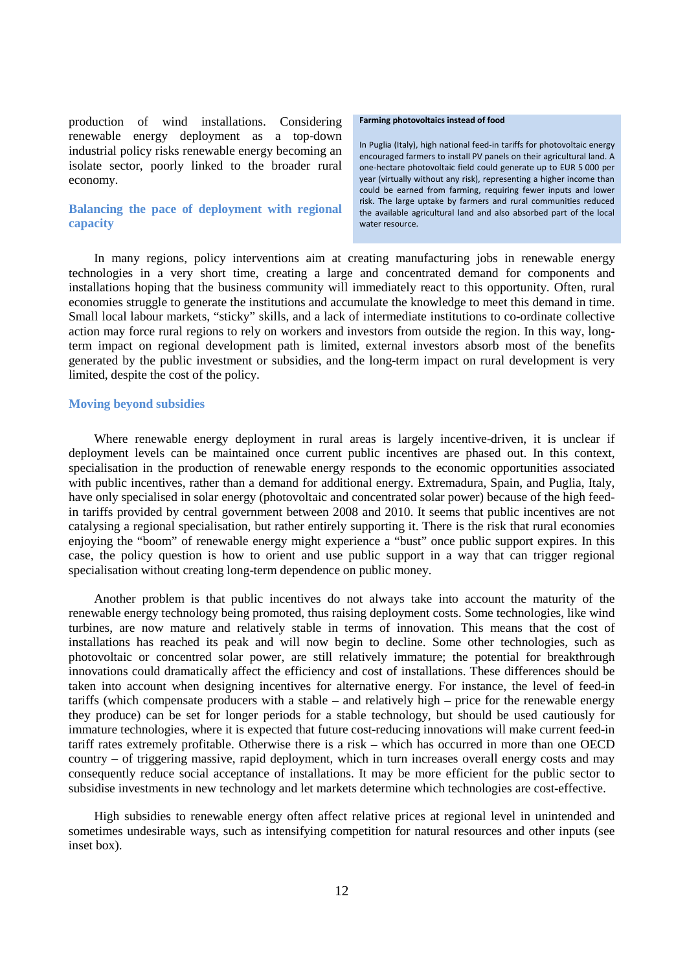production of wind installations. Considering renewable energy deployment as a top-down industrial policy risks renewable energy becoming an isolate sector, poorly linked to the broader rural economy.

# **Balancing the pace of deployment with regional capacity**

#### **Farming photovoltaics instead of food**

In Puglia (Italy), high national feed-in tariffs for photovoltaic energy encouraged farmers to install PV panels on their agricultural land. A one-hectare photovoltaic field could generate up to EUR 5 000 per year (virtually without any risk), representing a higher income than could be earned from farming, requiring fewer inputs and lower risk. The large uptake by farmers and rural communities reduced the available agricultural land and also absorbed part of the local water resource.

In many regions, policy interventions aim at creating manufacturing jobs in renewable energy technologies in a very short time, creating a large and concentrated demand for components and installations hoping that the business community will immediately react to this opportunity. Often, rural economies struggle to generate the institutions and accumulate the knowledge to meet this demand in time. Small local labour markets, "sticky" skills, and a lack of intermediate institutions to co-ordinate collective action may force rural regions to rely on workers and investors from outside the region. In this way, longterm impact on regional development path is limited, external investors absorb most of the benefits generated by the public investment or subsidies, and the long-term impact on rural development is very limited, despite the cost of the policy.

## **Moving beyond subsidies**

Where renewable energy deployment in rural areas is largely incentive-driven, it is unclear if deployment levels can be maintained once current public incentives are phased out. In this context, specialisation in the production of renewable energy responds to the economic opportunities associated with public incentives, rather than a demand for additional energy. Extremadura, Spain, and Puglia, Italy, have only specialised in solar energy (photovoltaic and concentrated solar power) because of the high feedin tariffs provided by central government between 2008 and 2010. It seems that public incentives are not catalysing a regional specialisation, but rather entirely supporting it. There is the risk that rural economies enjoying the "boom" of renewable energy might experience a "bust" once public support expires. In this case, the policy question is how to orient and use public support in a way that can trigger regional specialisation without creating long-term dependence on public money.

Another problem is that public incentives do not always take into account the maturity of the renewable energy technology being promoted, thus raising deployment costs. Some technologies, like wind turbines, are now mature and relatively stable in terms of innovation. This means that the cost of installations has reached its peak and will now begin to decline. Some other technologies, such as photovoltaic or concentred solar power, are still relatively immature; the potential for breakthrough innovations could dramatically affect the efficiency and cost of installations. These differences should be taken into account when designing incentives for alternative energy. For instance, the level of feed-in tariffs (which compensate producers with a stable – and relatively high – price for the renewable energy they produce) can be set for longer periods for a stable technology, but should be used cautiously for immature technologies, where it is expected that future cost-reducing innovations will make current feed-in tariff rates extremely profitable. Otherwise there is a risk – which has occurred in more than one OECD country – of triggering massive, rapid deployment, which in turn increases overall energy costs and may consequently reduce social acceptance of installations. It may be more efficient for the public sector to subsidise investments in new technology and let markets determine which technologies are cost-effective.

High subsidies to renewable energy often affect relative prices at regional level in unintended and sometimes undesirable ways, such as intensifying competition for natural resources and other inputs (see inset box).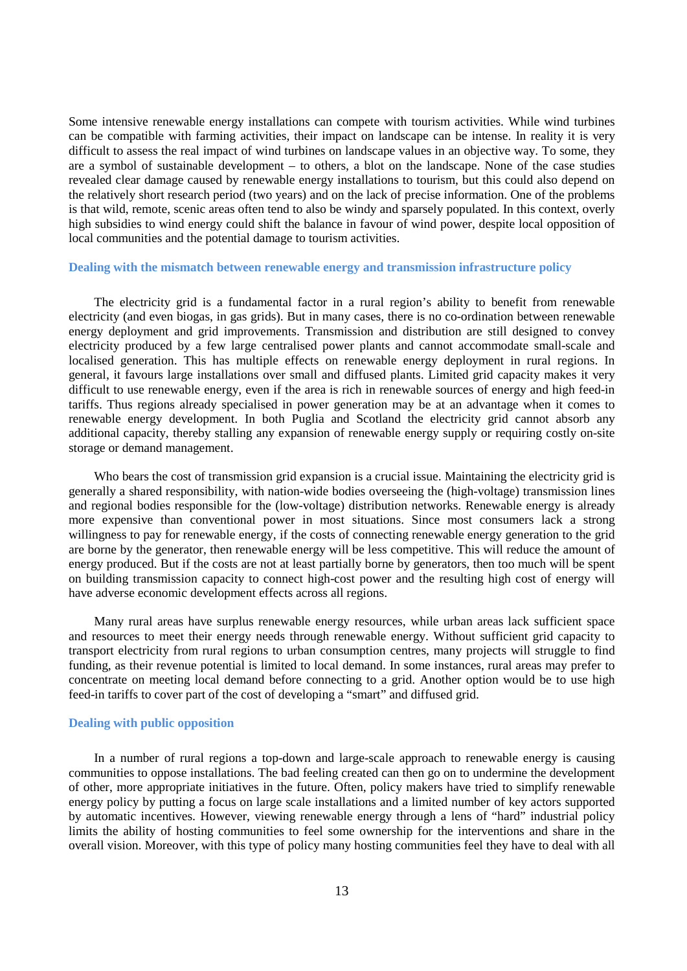Some intensive renewable energy installations can compete with tourism activities. While wind turbines can be compatible with farming activities, their impact on landscape can be intense. In reality it is very difficult to assess the real impact of wind turbines on landscape values in an objective way. To some, they are a symbol of sustainable development – to others, a blot on the landscape. None of the case studies revealed clear damage caused by renewable energy installations to tourism, but this could also depend on the relatively short research period (two years) and on the lack of precise information. One of the problems is that wild, remote, scenic areas often tend to also be windy and sparsely populated. In this context, overly high subsidies to wind energy could shift the balance in favour of wind power, despite local opposition of local communities and the potential damage to tourism activities.

## **Dealing with the mismatch between renewable energy and transmission infrastructure policy**

The electricity grid is a fundamental factor in a rural region's ability to benefit from renewable electricity (and even biogas, in gas grids). But in many cases, there is no co-ordination between renewable energy deployment and grid improvements. Transmission and distribution are still designed to convey electricity produced by a few large centralised power plants and cannot accommodate small-scale and localised generation. This has multiple effects on renewable energy deployment in rural regions. In general, it favours large installations over small and diffused plants. Limited grid capacity makes it very difficult to use renewable energy, even if the area is rich in renewable sources of energy and high feed-in tariffs. Thus regions already specialised in power generation may be at an advantage when it comes to renewable energy development. In both Puglia and Scotland the electricity grid cannot absorb any additional capacity, thereby stalling any expansion of renewable energy supply or requiring costly on-site storage or demand management.

Who bears the cost of transmission grid expansion is a crucial issue. Maintaining the electricity grid is generally a shared responsibility, with nation-wide bodies overseeing the (high-voltage) transmission lines and regional bodies responsible for the (low-voltage) distribution networks. Renewable energy is already more expensive than conventional power in most situations. Since most consumers lack a strong willingness to pay for renewable energy, if the costs of connecting renewable energy generation to the grid are borne by the generator, then renewable energy will be less competitive. This will reduce the amount of energy produced. But if the costs are not at least partially borne by generators, then too much will be spent on building transmission capacity to connect high-cost power and the resulting high cost of energy will have adverse economic development effects across all regions.

Many rural areas have surplus renewable energy resources, while urban areas lack sufficient space and resources to meet their energy needs through renewable energy. Without sufficient grid capacity to transport electricity from rural regions to urban consumption centres, many projects will struggle to find funding, as their revenue potential is limited to local demand. In some instances, rural areas may prefer to concentrate on meeting local demand before connecting to a grid. Another option would be to use high feed-in tariffs to cover part of the cost of developing a "smart" and diffused grid.

### **Dealing with public opposition**

In a number of rural regions a top-down and large-scale approach to renewable energy is causing communities to oppose installations. The bad feeling created can then go on to undermine the development of other, more appropriate initiatives in the future. Often, policy makers have tried to simplify renewable energy policy by putting a focus on large scale installations and a limited number of key actors supported by automatic incentives. However, viewing renewable energy through a lens of "hard" industrial policy limits the ability of hosting communities to feel some ownership for the interventions and share in the overall vision. Moreover, with this type of policy many hosting communities feel they have to deal with all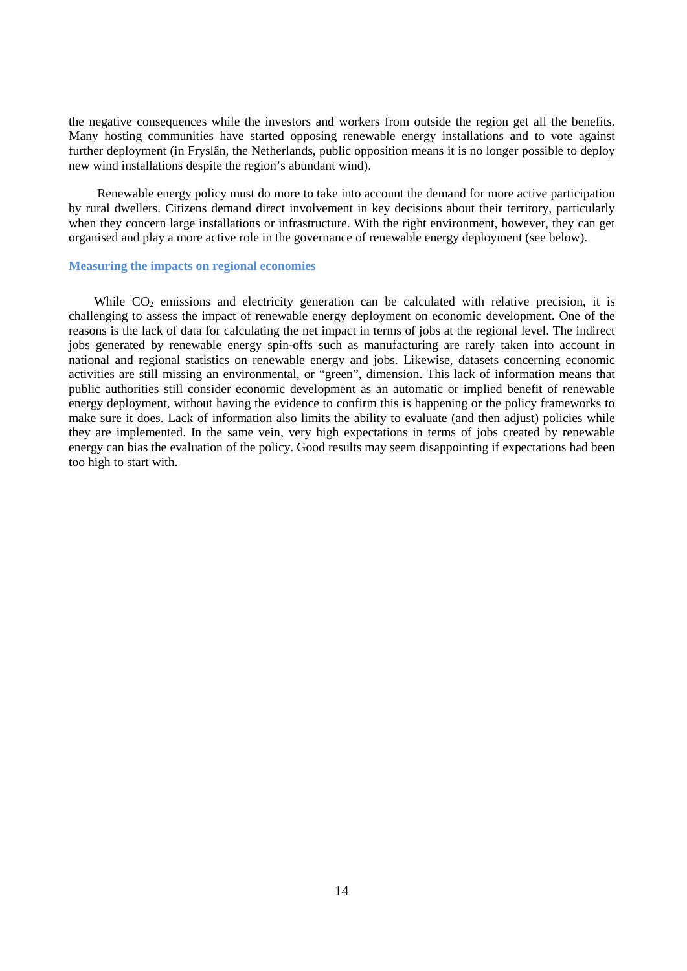the negative consequences while the investors and workers from outside the region get all the benefits. Many hosting communities have started opposing renewable energy installations and to vote against further deployment (in Fryslân, the Netherlands, public opposition means it is no longer possible to deploy new wind installations despite the region's abundant wind).

Renewable energy policy must do more to take into account the demand for more active participation by rural dwellers. Citizens demand direct involvement in key decisions about their territory, particularly when they concern large installations or infrastructure. With the right environment, however, they can get organised and play a more active role in the governance of renewable energy deployment (see below).

## **Measuring the impacts on regional economies**

While  $CO<sub>2</sub>$  emissions and electricity generation can be calculated with relative precision, it is challenging to assess the impact of renewable energy deployment on economic development. One of the reasons is the lack of data for calculating the net impact in terms of jobs at the regional level. The indirect jobs generated by renewable energy spin-offs such as manufacturing are rarely taken into account in national and regional statistics on renewable energy and jobs. Likewise, datasets concerning economic activities are still missing an environmental, or "green", dimension. This lack of information means that public authorities still consider economic development as an automatic or implied benefit of renewable energy deployment, without having the evidence to confirm this is happening or the policy frameworks to make sure it does. Lack of information also limits the ability to evaluate (and then adjust) policies while they are implemented. In the same vein, very high expectations in terms of jobs created by renewable energy can bias the evaluation of the policy. Good results may seem disappointing if expectations had been too high to start with.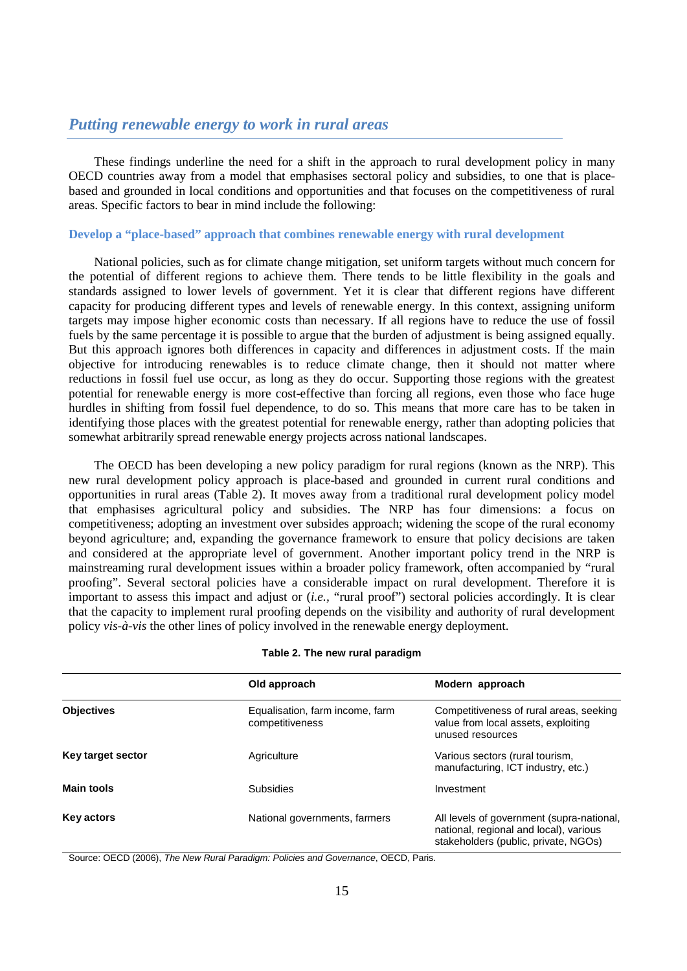# *Putting renewable energy to work in rural areas*

These findings underline the need for a shift in the approach to rural development policy in many OECD countries away from a model that emphasises sectoral policy and subsidies, to one that is placebased and grounded in local conditions and opportunities and that focuses on the competitiveness of rural areas. Specific factors to bear in mind include the following:

## **Develop a "place-based" approach that combines renewable energy with rural development**

National policies, such as for climate change mitigation, set uniform targets without much concern for the potential of different regions to achieve them. There tends to be little flexibility in the goals and standards assigned to lower levels of government. Yet it is clear that different regions have different capacity for producing different types and levels of renewable energy. In this context, assigning uniform targets may impose higher economic costs than necessary. If all regions have to reduce the use of fossil fuels by the same percentage it is possible to argue that the burden of adjustment is being assigned equally. But this approach ignores both differences in capacity and differences in adjustment costs. If the main objective for introducing renewables is to reduce climate change, then it should not matter where reductions in fossil fuel use occur, as long as they do occur. Supporting those regions with the greatest potential for renewable energy is more cost-effective than forcing all regions, even those who face huge hurdles in shifting from fossil fuel dependence, to do so. This means that more care has to be taken in identifying those places with the greatest potential for renewable energy, rather than adopting policies that somewhat arbitrarily spread renewable energy projects across national landscapes.

The OECD has been developing a new policy paradigm for rural regions (known as the NRP). This new rural development policy approach is place-based and grounded in current rural conditions and opportunities in rural areas (Table 2). It moves away from a traditional rural development policy model that emphasises agricultural policy and subsidies. The NRP has four dimensions: a focus on competitiveness; adopting an investment over subsides approach; widening the scope of the rural economy beyond agriculture; and, expanding the governance framework to ensure that policy decisions are taken and considered at the appropriate level of government. Another important policy trend in the NRP is mainstreaming rural development issues within a broader policy framework, often accompanied by "rural proofing". Several sectoral policies have a considerable impact on rural development. Therefore it is important to assess this impact and adjust or (*i.e.,* "rural proof") sectoral policies accordingly. It is clear that the capacity to implement rural proofing depends on the visibility and authority of rural development policy *vis-à-vis* the other lines of policy involved in the renewable energy deployment.

|  |  |  |  | Table 2. The new rural paradigm |
|--|--|--|--|---------------------------------|
|--|--|--|--|---------------------------------|

|                   | Old approach                                       | Modern approach                                                                                                             |  |  |
|-------------------|----------------------------------------------------|-----------------------------------------------------------------------------------------------------------------------------|--|--|
| <b>Objectives</b> | Equalisation, farm income, farm<br>competitiveness | Competitiveness of rural areas, seeking<br>value from local assets, exploiting<br>unused resources                          |  |  |
| Key target sector | Agriculture                                        | Various sectors (rural tourism,<br>manufacturing, ICT industry, etc.)                                                       |  |  |
| <b>Main tools</b> | <b>Subsidies</b>                                   | Investment                                                                                                                  |  |  |
| Key actors        | National governments, farmers                      | All levels of government (supra-national,<br>national, regional and local), various<br>stakeholders (public, private, NGOs) |  |  |

Source: OECD (2006), *The New Rural Paradigm: Policies and Governance*, OECD, Paris.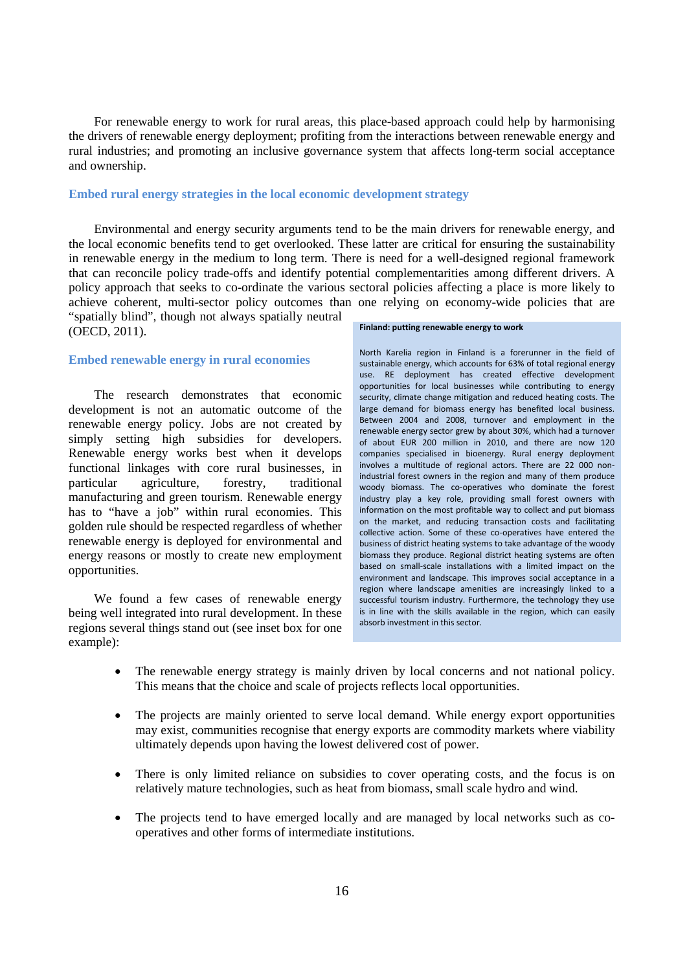For renewable energy to work for rural areas, this place-based approach could help by harmonising the drivers of renewable energy deployment; profiting from the interactions between renewable energy and rural industries; and promoting an inclusive governance system that affects long-term social acceptance and ownership.

## **Embed rural energy strategies in the local economic development strategy**

Environmental and energy security arguments tend to be the main drivers for renewable energy, and the local economic benefits tend to get overlooked. These latter are critical for ensuring the sustainability in renewable energy in the medium to long term. There is need for a well-designed regional framework that can reconcile policy trade-offs and identify potential complementarities among different drivers. A policy approach that seeks to co-ordinate the various sectoral policies affecting a place is more likely to achieve coherent, multi-sector policy outcomes than one relying on economy-wide policies that are "spatially blind", though not always spatially neutral

(OECD, 2011).

# **Embed renewable energy in rural economies**

The research demonstrates that economic development is not an automatic outcome of the renewable energy policy. Jobs are not created by simply setting high subsidies for developers. Renewable energy works best when it develops functional linkages with core rural businesses, in particular agriculture, forestry, traditional manufacturing and green tourism. Renewable energy has to "have a job" within rural economies. This golden rule should be respected regardless of whether renewable energy is deployed for environmental and energy reasons or mostly to create new employment opportunities.

We found a few cases of renewable energy being well integrated into rural development. In these regions several things stand out (see inset box for one example):

#### **Finland: putting renewable energy to work**

North Karelia region in Finland is a forerunner in the field of sustainable energy, which accounts for 63% of total regional energy use. RE deployment has created effective development opportunities for local businesses while contributing to energy security, climate change mitigation and reduced heating costs. The large demand for biomass energy has benefited local business. Between 2004 and 2008, turnover and employment in the renewable energy sector grew by about 30%, which had a turnover of about EUR 200 million in 2010, and there are now 120 companies specialised in bioenergy. Rural energy deployment involves a multitude of regional actors. There are 22 000 nonindustrial forest owners in the region and many of them produce woody biomass. The co-operatives who dominate the forest industry play a key role, providing small forest owners with information on the most profitable way to collect and put biomass on the market, and reducing transaction costs and facilitating collective action. Some of these co-operatives have entered the business of district heating systems to take advantage of the woody biomass they produce. Regional district heating systems are often based on small-scale installations with a limited impact on the environment and landscape. This improves social acceptance in a region where landscape amenities are increasingly linked to a successful tourism industry. Furthermore, the technology they use is in line with the skills available in the region, which can easily absorb investment in this sector.

- The renewable energy strategy is mainly driven by local concerns and not national policy. This means that the choice and scale of projects reflects local opportunities.
- The projects are mainly oriented to serve local demand. While energy export opportunities may exist, communities recognise that energy exports are commodity markets where viability ultimately depends upon having the lowest delivered cost of power.
- There is only limited reliance on subsidies to cover operating costs, and the focus is on relatively mature technologies, such as heat from biomass, small scale hydro and wind.
- The projects tend to have emerged locally and are managed by local networks such as cooperatives and other forms of intermediate institutions.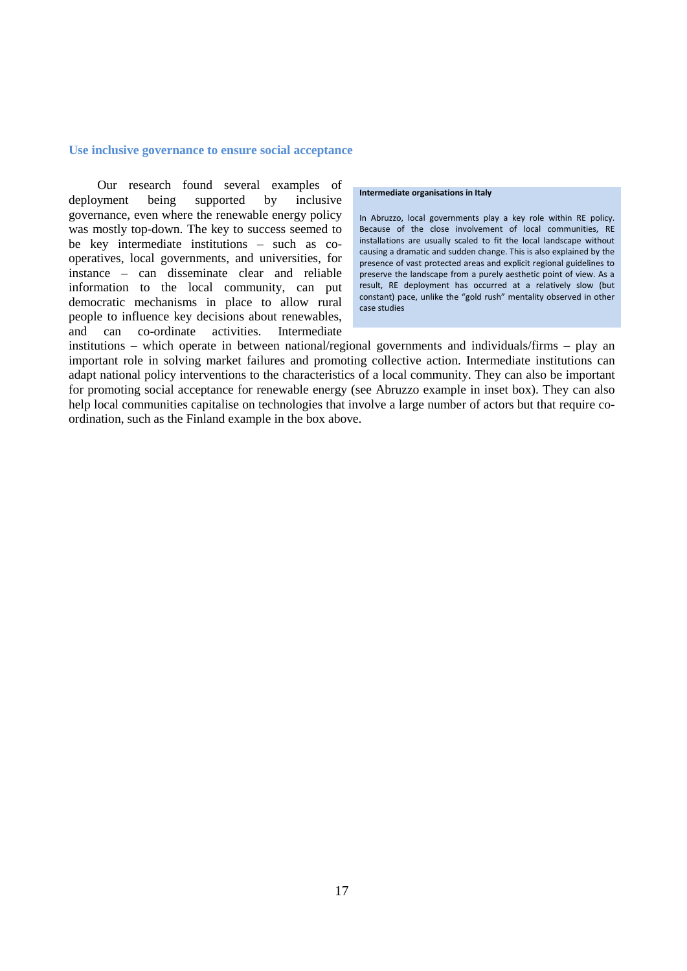## **Use inclusive governance to ensure social acceptance**

Our research found several examples of deployment being supported by inclusive governance, even where the renewable energy policy was mostly top-down. The key to success seemed to be key intermediate institutions – such as cooperatives, local governments, and universities, for instance – can disseminate clear and reliable information to the local community, can put democratic mechanisms in place to allow rural people to influence key decisions about renewables, and can co-ordinate activities. Intermediate

#### **Intermediate organisations in Italy**

In Abruzzo, local governments play a key role within RE policy. Because of the close involvement of local communities, RE installations are usually scaled to fit the local landscape without causing a dramatic and sudden change. This is also explained by the presence of vast protected areas and explicit regional guidelines to preserve the landscape from a purely aesthetic point of view. As a result, RE deployment has occurred at a relatively slow (but constant) pace, unlike the "gold rush" mentality observed in other case studies

institutions – which operate in between national/regional governments and individuals/firms – play an important role in solving market failures and promoting collective action. Intermediate institutions can adapt national policy interventions to the characteristics of a local community. They can also be important for promoting social acceptance for renewable energy (see Abruzzo example in inset box). They can also help local communities capitalise on technologies that involve a large number of actors but that require coordination, such as the Finland example in the box above.